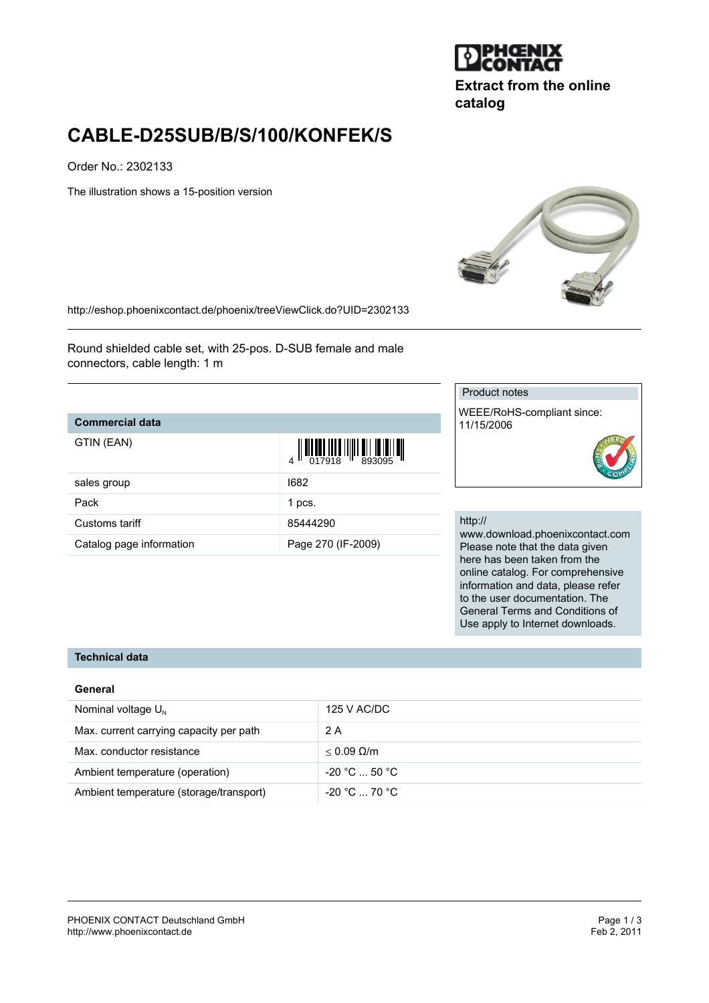

**Extract from the online catalog**

# **CABLE-D25SUB/B/S/100/KONFEK/S**

Order No.: 2302133

The illustration shows a 15-position version



<http://eshop.phoenixcontact.de/phoenix/treeViewClick.do?UID=2302133>

Round shielded cable set, with 25-pos. D-SUB female and male connectors, cable length: 1 m

## **Commercial data**

GTIN (EAN)

| GTIN (EAN)               |                    |
|--------------------------|--------------------|
| sales group              | 1682               |
| Pack                     | 1 pcs.             |
| Customs tariff           | 85444290           |
| Catalog page information | Page 270 (IF-2009) |

#### Product notes

WEEE/RoHS-compliant since: 11/15/2006

#### http://

www.download.phoenixcontact.com Please note that the data given here has been taken from the online catalog. For comprehensive information and data, please refer to the user documentation. The General Terms and Conditions of Use apply to Internet downloads.

## **Technical data**

#### **General**

| Nominal voltage $U_{N}$                 | 125 V AC/DC          |
|-----------------------------------------|----------------------|
| Max. current carrying capacity per path | 2 A                  |
| Max. conductor resistance               | $< 0.09$ Q/m         |
| Ambient temperature (operation)         | $-20 °C  50 °C$      |
| Ambient temperature (storage/transport) | $-20\degree$ C 70 °C |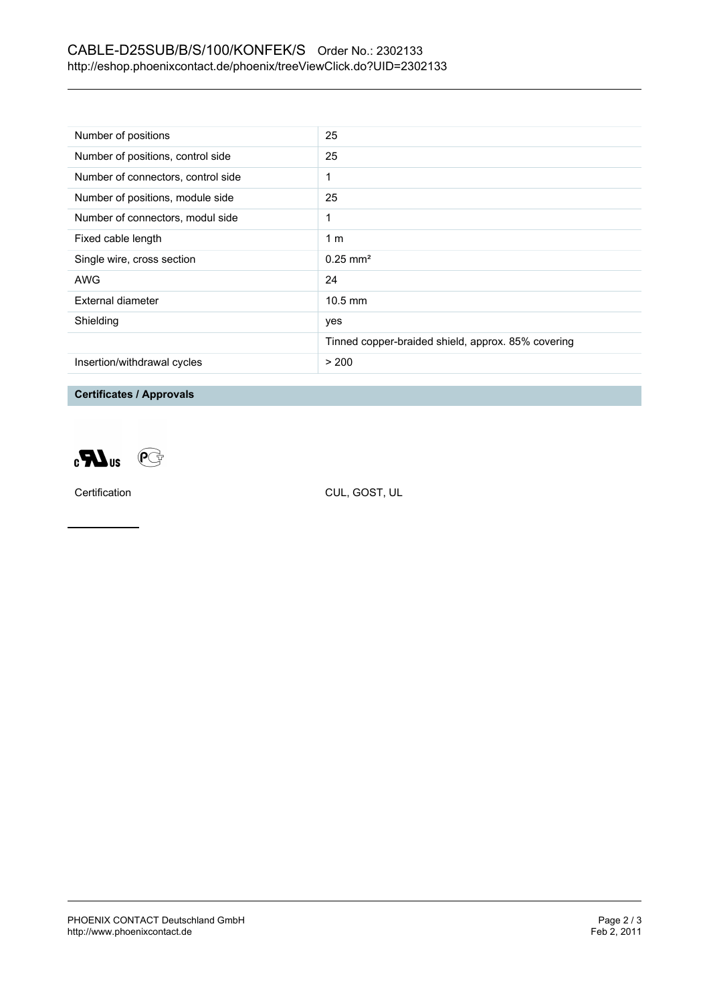## CABLE-D25SUB/B/S/100/KONFEK/S Order No.: 2302133 <http://eshop.phoenixcontact.de/phoenix/treeViewClick.do?UID=2302133>

| Number of positions                | 25                                                 |
|------------------------------------|----------------------------------------------------|
| Number of positions, control side  | 25                                                 |
| Number of connectors, control side | 1                                                  |
| Number of positions, module side   | 25                                                 |
| Number of connectors, modul side   | 1                                                  |
| Fixed cable length                 | 1 <sub>m</sub>                                     |
| Single wire, cross section         | $0.25 \text{ mm}^2$                                |
| AWG                                | 24                                                 |
| External diameter                  | $10.5$ mm                                          |
| Shielding                          | yes                                                |
|                                    | Tinned copper-braided shield, approx. 85% covering |
| Insertion/withdrawal cycles        | > 200                                              |

**Certificates / Approvals**



Certification CUL, GOST, UL